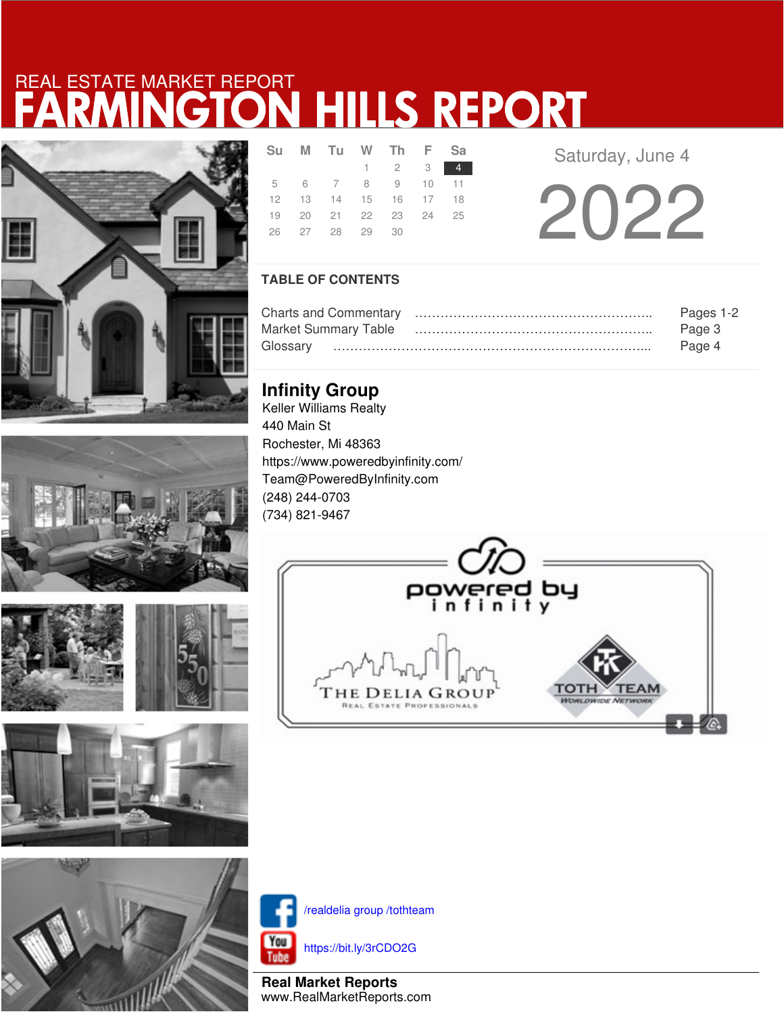# FARMINGTON HILLS REPORT REAL ESTATE MARKET REPORT





**PARTIES AND LOCATIONS** 







|  | Su M Tu W Th F Sa          |                     |        |
|--|----------------------------|---------------------|--------|
|  |                            | $1 \quad 2 \quad 3$ | $\Phi$ |
|  | 5 6 7 8 9 10 11            |                     |        |
|  | 12  13  14  15  16  17  18 |                     |        |
|  | 19 20 21 22 23 24 25       |                     |        |
|  | 26 27 28 29 30             |                     |        |

**Saturday, June 4** 

2022

### **TABLE OF CONTENTS**

|                      | Pages 1-2 |
|----------------------|-----------|
| Market Summary Table | Page 3    |
|                      | Page 4    |

## **Infinity Group**

Keller Williams Realty 440 Main St Rochester, Mi 48363 https://www.poweredbyinfinity.com/ Team@PoweredByInfinity.com (248) 244-0703 (734) 821-9467





/realdelia group /tothteam

https://bit.ly/3rCDO2G

**Real Market Reports** www.RealMarketReports.com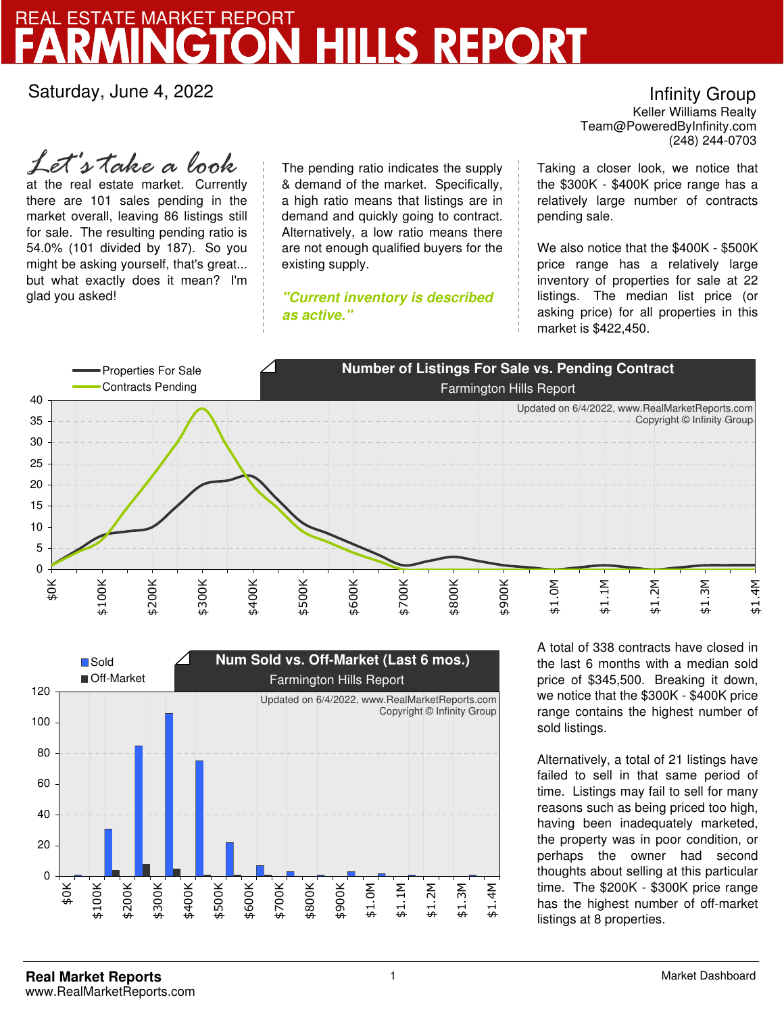## FARMINGTON HILLS REPORT REAL ESTATE MARKET REPORT

Saturday, June 4, 2022

Infinity Group

Team@PoweredByInfinity.com Keller Williams Realty (248) 244-0703

at the real estate market. Currently there are 101 sales pending in the market overall, leaving 86 listings still for sale. The resulting pending ratio is 54.0% (101 divided by 187). So you might be asking yourself, that's great... but what exactly does it mean? I'm glad you asked! *Let's take a look*

The pending ratio indicates the supply & demand of the market. Specifically, a high ratio means that listings are in demand and quickly going to contract. Alternatively, a low ratio means there are not enough qualified buyers for the existing supply.

**"Current inventory is described as active."**

Taking a closer look, we notice that the \$300K - \$400K price range has a relatively large number of contracts pending sale.

We also notice that the \$400K - \$500K price range has a relatively large inventory of properties for sale at 22 listings. The median list price (or asking price) for all properties in this market is \$422,450.





A total of 338 contracts have closed in the last 6 months with a median sold price of \$345,500. Breaking it down, we notice that the \$300K - \$400K price range contains the highest number of sold listings.

Alternatively, a total of 21 listings have failed to sell in that same period of time. Listings may fail to sell for many reasons such as being priced too high, having been inadequately marketed, the property was in poor condition, or perhaps the owner had second thoughts about selling at this particular time. The \$200K - \$300K price range has the highest number of off-market listings at 8 properties.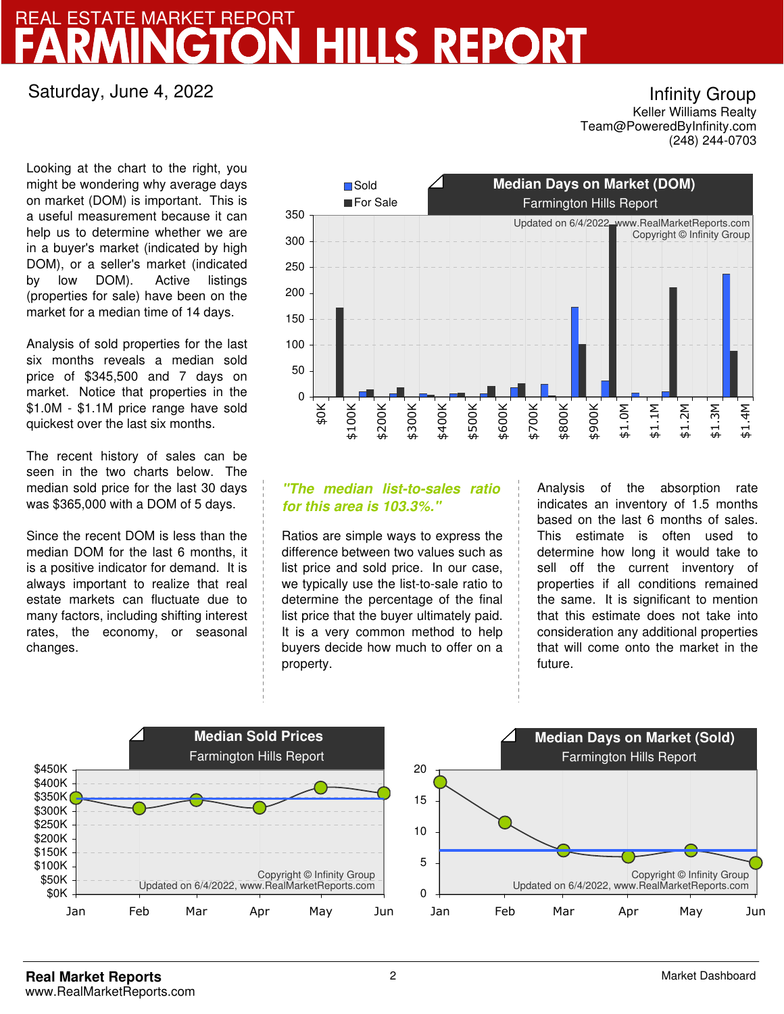## FARMINGTON HILLS REPORT REAL ESTATE MARKET REPORT

### Saturday, June 4, 2022

Infinity Group

Team@PoweredByInfinity.com Keller Williams Realty (248) 244-0703

Looking at the chart to the right, you might be wondering why average days on market (DOM) is important. This is a useful measurement because it can help us to determine whether we are in a buyer's market (indicated by high DOM), or a seller's market (indicated by low DOM). Active listings (properties for sale) have been on the market for a median time of 14 days.

Analysis of sold properties for the last six months reveals a median sold price of \$345,500 and 7 days on market. Notice that properties in the \$1.0M - \$1.1M price range have sold quickest over the last six months.

The recent history of sales can be seen in the two charts below. The median sold price for the last 30 days was \$365,000 with a DOM of 5 days.

Since the recent DOM is less than the median DOM for the last 6 months, it is a positive indicator for demand. It is always important to realize that real estate markets can fluctuate due to many factors, including shifting interest rates, the economy, or seasonal changes.



### **"The median list-to-sales ratio for this area is 103.3%."**

Ratios are simple ways to express the difference between two values such as list price and sold price. In our case, we typically use the list-to-sale ratio to determine the percentage of the final list price that the buyer ultimately paid. It is a very common method to help buyers decide how much to offer on a property.

Analysis of the absorption rate indicates an inventory of 1.5 months based on the last 6 months of sales. This estimate is often used to determine how long it would take to sell off the current inventory of properties if all conditions remained the same. It is significant to mention that this estimate does not take into consideration any additional properties that will come onto the market in the future.

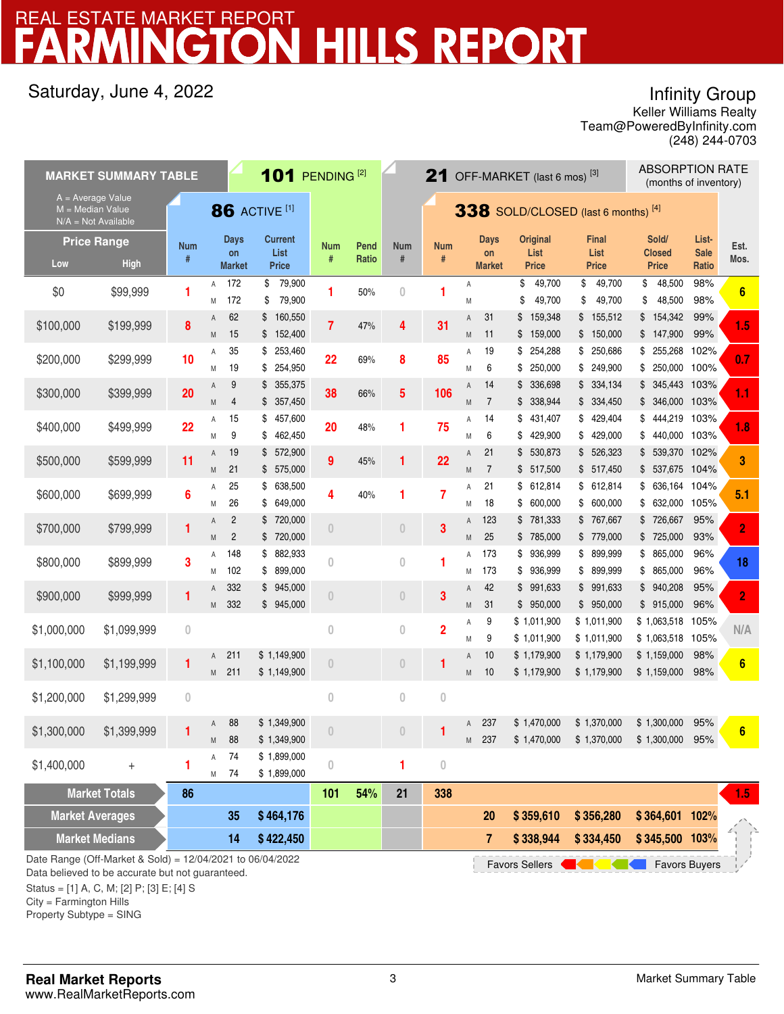# **HILLS REPORT** REAL ESTATE MARKET REPORT

## Saturday, June 4, 2022

## Infinity Group

Team@PoweredByInfinity.com Keller Williams Realty (248) 244-0703

|                                           | <b>MARKET SUMMARY TABLE</b>                                                                                                                                   |                 | 101 PENDING <sup>[2]</sup><br>21 OFF-MARKET (last 6 mos) $^{[3]}$ |                                    |                                        |                |               |                    | <b>ABSORPTION RATE</b><br>(months of inventory) |                     |                                    |          |                                         |          |                                      |          |                                        |                               |                  |
|-------------------------------------------|---------------------------------------------------------------------------------------------------------------------------------------------------------------|-----------------|-------------------------------------------------------------------|------------------------------------|----------------------------------------|----------------|---------------|--------------------|-------------------------------------------------|---------------------|------------------------------------|----------|-----------------------------------------|----------|--------------------------------------|----------|----------------------------------------|-------------------------------|------------------|
| $A = Average Value$<br>$M = Median Value$ | $N/A = Not Available$                                                                                                                                         |                 | <b>86 ACTIVE [1]</b><br>338 SOLD/CLOSED (last 6 months) [4]       |                                    |                                        |                |               |                    |                                                 |                     |                                    |          |                                         |          |                                      |          |                                        |                               |                  |
| Low                                       | <b>Price Range</b><br><b>High</b>                                                                                                                             | <b>Num</b><br># |                                                                   | <b>Days</b><br>on<br><b>Market</b> | <b>Current</b><br>List<br><b>Price</b> | Num<br>#       | Pend<br>Ratio | <b>Num</b><br>$\#$ | <b>Num</b><br>#                                 |                     | <b>Days</b><br>on<br><b>Market</b> |          | <b>Original</b><br>List<br><b>Price</b> |          | <b>Final</b><br>List<br><b>Price</b> |          | Sold/<br><b>Closed</b><br><b>Price</b> | List-<br><b>Sale</b><br>Ratio | Est.<br>Mos.     |
| \$0                                       | \$99,999                                                                                                                                                      | 1               | Α                                                                 | 172<br>172                         | 79,900<br>\$<br>79,900<br>\$           | 1              | 50%           | $\overline{0}$     | 1                                               | A                   |                                    | \$       | 49,700                                  | \$<br>\$ | 49,700                               | \$<br>\$ | 48,500                                 | 98%<br>98%                    | 6                |
| \$100,000                                 | \$199,999                                                                                                                                                     | 8               | Μ<br>Α                                                            | 62                                 | 160,550<br>\$                          | $\overline{7}$ | 47%           | 4                  | 31                                              | M<br>Α              | 31                                 | \$<br>\$ | 49,700<br>159,348                       |          | 49,700<br>\$155,512                  |          | 48,500<br>\$154,342                    | 99%                           | 1.5              |
| \$200,000                                 | \$299,999                                                                                                                                                     | 10              | M<br>Α                                                            | 15<br>35                           | 152,400<br>\$<br>253,460<br>\$         | 22             | 69%           | 8                  | 85                                              | M<br>Α              | 11<br>19                           | \$<br>\$ | 159,000<br>254,288                      |          | \$150,000<br>\$ 250,686              | \$       | 147,900<br>\$ 255,268 102%             | 99%                           | 0.7              |
| \$300,000                                 | \$399,999                                                                                                                                                     | 20              | M<br>Α                                                            | 19<br>9                            | 254,950<br>\$<br>355,375<br>\$         | 38             | 66%           | 5                  | 106                                             | M<br>Α              | 6<br>14                            | \$<br>\$ | 250,000<br>336,698                      |          | \$ 249,900<br>\$334,134              | \$<br>\$ | 250,000 100%<br>345,443                | 103%                          | 1.1              |
| \$400,000                                 | \$499,999                                                                                                                                                     | 22              | M<br>Α                                                            | 4<br>15                            | 357,450<br>\$<br>\$<br>457,600         | 20             | 48%           | 1                  | 75                                              | M<br>Α              | $\overline{7}$<br>14               | \$       | \$338,944<br>431,407                    |          | \$ 334,450<br>\$429,404              | \$<br>\$ | 346,000 103%<br>444,219 103%           |                               | 1.8              |
| \$500,000                                 | \$599,999                                                                                                                                                     | 11              | M<br>Α                                                            | 9<br>19                            | \$<br>462,450<br>\$<br>572,900         | 9              | 45%           | 1                  | 22                                              | Μ<br>$\overline{A}$ | 6<br>21                            | \$<br>\$ | 429,900<br>530,873                      |          | \$429,000<br>\$526,323               | \$<br>\$ | 440,000 103%<br>539,370 102%           |                               | 3                |
| \$600,000                                 | \$699,999                                                                                                                                                     | 6               | M<br>Α                                                            | 21<br>25                           | 575,000<br>\$<br>638,500<br>\$         | 4              | 40%           | 1                  | $\overline{7}$                                  | M<br>Α              | $\overline{7}$<br>21               |          | \$517,500<br>\$612,814                  |          | \$517,450<br>\$612,814               | \$<br>\$ | 537,675 104%<br>636,164 104%           |                               | 5.1              |
| \$700,000                                 | \$799,999                                                                                                                                                     | 1               | Μ<br>Α                                                            | 26<br>$\overline{2}$               | 649,000<br>\$<br>720,000<br>\$         | $\theta$       |               | $\overline{0}$     | 3                                               | Μ<br>A              | 18<br>123                          | \$<br>\$ | 600,000<br>781,333                      | \$       | 600,000<br>\$767,667                 | \$       | 632,000 105%<br>\$726,667              | 95%                           | $\overline{2}$   |
| \$800,000                                 | \$899,999                                                                                                                                                     | 3               | M<br>Α                                                            | $\overline{2}$<br>148              | 720,000<br>\$<br>882,933<br>\$         | $\overline{0}$ |               | $\bf{0}$           | 1                                               | M<br>Α              | 25<br>173                          |          | \$785,000<br>\$936,999                  |          | \$ 779,000<br>\$ 899,999             | \$       | \$725,000<br>865,000                   | 93%<br>96%                    | 18               |
| \$900,000                                 | \$999,999                                                                                                                                                     | 1               | Μ<br>Α                                                            | 102<br>332                         | 899,000<br>\$<br>945,000<br>\$         | $\overline{0}$ |               | $\theta$           | 3                                               | Μ<br>Α              | 173<br>42                          |          | \$936,999<br>\$991,633                  |          | \$ 899,999<br>\$991,633              | \$       | 865,000<br>\$940,208                   | 96%<br>95%                    | $\overline{2}$   |
| \$1,000,000                               | \$1,099,999                                                                                                                                                   | $\overline{0}$  | M                                                                 | 332                                | \$<br>945,000                          | $\overline{0}$ |               | $\overline{0}$     | $\overline{\mathbf{2}}$                         | M<br>Α              | 31<br>9                            |          | \$950,000<br>\$1,011,900                |          | \$950,000<br>\$1,011,900             |          | \$915,000<br>\$1,063,518 105%          | 96%                           | N/A              |
| \$1,100,000                               | \$1,199,999                                                                                                                                                   | 1               | Α                                                                 | 211                                | \$1,149,900                            | $\theta$       |               | $\overline{0}$     | 1                                               | M<br>A              | 9<br>10                            |          | \$1,011,900<br>\$1,179,900              |          | \$1,011,900<br>\$1,179,900           |          | \$1,063,518 105%<br>\$1,159,000        | 98%                           | $6\phantom{1}6$  |
| \$1,200,000                               | \$1,299,999                                                                                                                                                   | $\mathbf{0}$    | M                                                                 | 211                                | \$1,149,900                            | $\overline{0}$ |               | 0                  | $\boldsymbol{0}$                                | M                   | 10                                 |          | \$1,179,900                             |          | \$1,179,900                          |          | \$1,159,000                            | 98%                           |                  |
| \$1,300,000                               | \$1,399,999                                                                                                                                                   |                 | Α                                                                 | 88                                 | \$1,349,900                            | $\theta$       |               |                    |                                                 | Α                   | 237                                |          | \$1,470,000                             |          | \$1,370,000                          |          | \$1,300,000                            | 95%                           | 6                |
| \$1,400,000                               | $^{+}$                                                                                                                                                        | 1               | M<br>Α                                                            | 88<br>74                           | \$1,349,900<br>\$1,899,000             | $\bf{0}$       |               | 1                  | $\,0\,$                                         |                     | M 237                              |          | \$1,470,000                             |          | \$1,370,000                          |          | \$1,300,000 95%                        |                               |                  |
|                                           | <b>Market Totals</b>                                                                                                                                          | 86              | М                                                                 | 74                                 | \$1,899,000                            | 101            | 54%           | 21                 | 338                                             |                     |                                    |          |                                         |          |                                      |          |                                        |                               | 1.5 <sub>1</sub> |
| <b>Market Averages</b>                    |                                                                                                                                                               |                 |                                                                   | 35                                 | \$464,176                              |                |               |                    |                                                 |                     | <b>20</b>                          |          | \$359,610                               |          | \$356,280                            |          | \$364,601 102%                         |                               |                  |
|                                           | <b>Market Medians</b>                                                                                                                                         |                 |                                                                   | 14                                 | \$422,450                              |                |               |                    |                                                 |                     | 7                                  |          | \$338,944                               |          | \$334,450                            |          | \$345,500 103%                         |                               |                  |
|                                           | Date Range (Off-Market & Sold) = 12/04/2021 to 06/04/2022<br><b>Favors Buyers</b><br><b>Favors Sellers</b><br>Data believed to be accurate but not quaranteed |                 |                                                                   |                                    |                                        |                |               |                    |                                                 |                     |                                    |          |                                         |          |                                      |          |                                        |                               |                  |

lieved to be accurate but not guaranteed.

Status = [1] A, C, M; [2] P; [3] E; [4] S

City = Farmington Hills